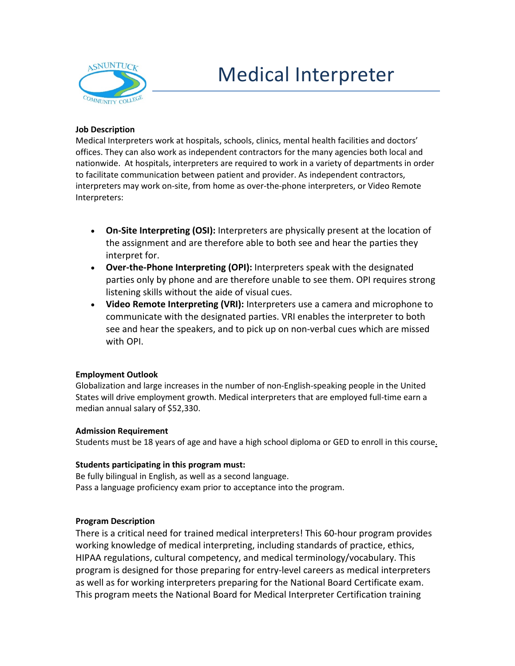

## Medical Interpreter

# **Job Description**

Medical Interpreters work at hospitals, schools, clinics, mental health facilities and doctors' offices. They can also work as independent contractors for the many agencies both local and nationwide. At hospitals, interpreters are required to work in a variety of departments in order to facilitate communication between patient and provider. As independent contractors, interpreters may work on-site, from home as over-the-phone interpreters, or Video Remote Interpreters:

- **On-Site Interpreting (OSI):** Interpreters are physically present at the location of the assignment and are therefore able to both see and hear the parties they interpret for.
- **Over-the-Phone Interpreting (OPI):** Interpreters speak with the designated parties only by phone and are therefore unable to see them. OPI requires strong listening skills without the aide of visual cues.
- **Video Remote Interpreting (VRI):** Interpreters use a camera and microphone to communicate with the designated parties. VRI enables the interpreter to both see and hear the speakers, and to pick up on non-verbal cues which are missed with OPI.

## **Employment Outlook**

Globalization and large increases in the number of non-English-speaking people in the United States will drive employment growth. Medical interpreters that are employed full-time earn a median annual salary of \$52,330.

#### **Admission Requirement**

Students must be 18 years of age and have a high school diploma or GED to enroll in this course.

#### **Students participating in this program must:**

Be fully bilingual in English, as well as a second language. Pass a language proficiency exam prior to acceptance into the program.

## **Program Description**

There is a critical need for trained medical interpreters! This 60-hour program provides working knowledge of medical interpreting, including standards of practice, ethics, HIPAA regulations, cultural competency, and medical terminology/vocabulary. This program is designed for those preparing for entry-level careers as medical interpreters as well as for working interpreters preparing for the National Board Certificate exam. This program meets the National Board for Medical Interpreter Certification training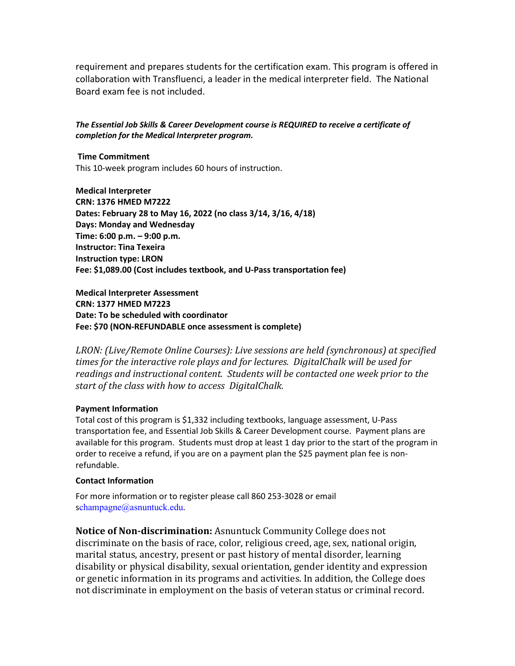requirement and prepares students for the certification exam. This program is offered in collaboration with Transfluenci, a leader in the medical interpreter field. The National Board exam fee is not included.

### *The Essential Job Skills & Career Development course is REQUIRED to receive a certificate of completion for the Medical Interpreter program.*

**Time Commitment** This 10-week program includes 60 hours of instruction.

**Medical Interpreter CRN: 1376 HMED M7222 Dates: February 28 to May 16, 2022 (no class 3/14, 3/16, 4/18) Days: Monday and Wednesday Time: 6:00 p.m. – 9:00 p.m. Instructor: Tina Texeira Instruction type: LRON Fee: \$1,089.00 (Cost includes textbook, and U-Pass transportation fee)**

**Medical Interpreter Assessment CRN: 1377 HMED M7223 Date: To be scheduled with coordinator Fee: \$70 (NON-REFUNDABLE once assessment is complete)**

*LRON: (Live/Remote Online Courses): Live sessions are held (synchronous) at specified times for the interactive role plays and for lectures. DigitalChalk will be used for readings and instructional content. Students will be contacted one week prior to the start of the class with how to access DigitalChalk.*

#### **Payment Information**

Total cost of this program is \$1,332 including textbooks, language assessment, U-Pass transportation fee, and Essential Job Skills & Career Development course. Payment plans are available for this program. Students must drop at least 1 day prior to the start of the program in order to receive a refund, if you are on a payment plan the \$25 payment plan fee is nonrefundable.

#### **Contact Information**

For more information or to register please call 860 253-3028 or email schampagne@asnuntuck.edu.

**Notice of Non-discrimination:** Asnuntuck Community College does not discriminate on the basis of race, color, religious creed, age, sex, national origin, marital status, ancestry, present or past history of mental disorder, learning disability or physical disability, sexual orientation, gender identity and expression or genetic information in its programs and activities. In addition, the College does not discriminate in employment on the basis of veteran status or criminal record.